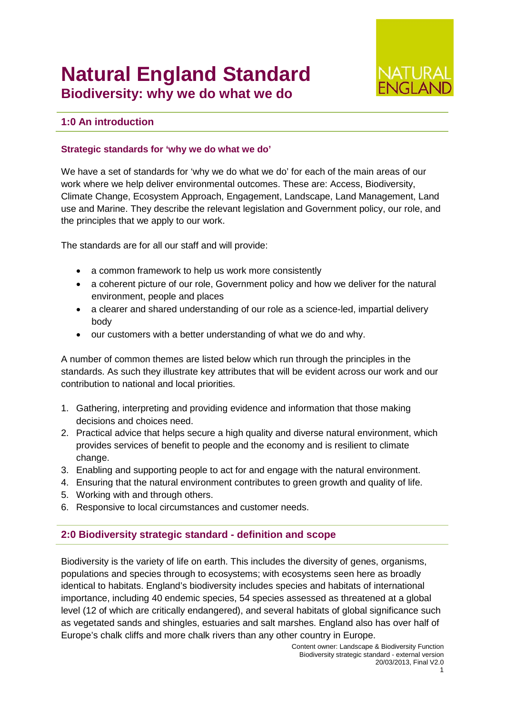# **Natural England Standard Biodiversity: why we do what we do**



# **1:0 An introduction**

### **Strategic standards for 'why we do what we do'**

We have a set of standards for 'why we do what we do' for each of the main areas of our work where we help deliver environmental outcomes. These are: Access, Biodiversity, Climate Change, Ecosystem Approach, Engagement, Landscape, Land Management, Land use and Marine. They describe the relevant legislation and Government policy, our role, and the principles that we apply to our work.

The standards are for all our staff and will provide:

- a common framework to help us work more consistently
- a coherent picture of our role, Government policy and how we deliver for the natural environment, people and places
- a clearer and shared understanding of our role as a science-led, impartial delivery body
- our customers with a better understanding of what we do and why.

A number of common themes are listed below which run through the principles in the standards. As such they illustrate key attributes that will be evident across our work and our contribution to national and local priorities.

- 1. Gathering, interpreting and providing evidence and information that those making decisions and choices need.
- 2. Practical advice that helps secure a high quality and diverse natural environment, which provides services of benefit to people and the economy and is resilient to climate change.
- 3. Enabling and supporting people to act for and engage with the natural environment.
- 4. Ensuring that the natural environment contributes to green growth and quality of life.
- 5. Working with and through others.
- 6. Responsive to local circumstances and customer needs.

# **2:0 Biodiversity strategic standard - definition and scope**

Biodiversity is the variety of life on earth. This includes the diversity of genes, organisms, populations and species through to ecosystems; with ecosystems seen here as broadly identical to habitats. England's biodiversity includes species and habitats of international importance, including 40 endemic species, 54 species assessed as threatened at a global level (12 of which are critically endangered), and several habitats of global significance such as vegetated sands and shingles, estuaries and salt marshes. England also has over half of Europe's chalk cliffs and more chalk rivers than any other country in Europe.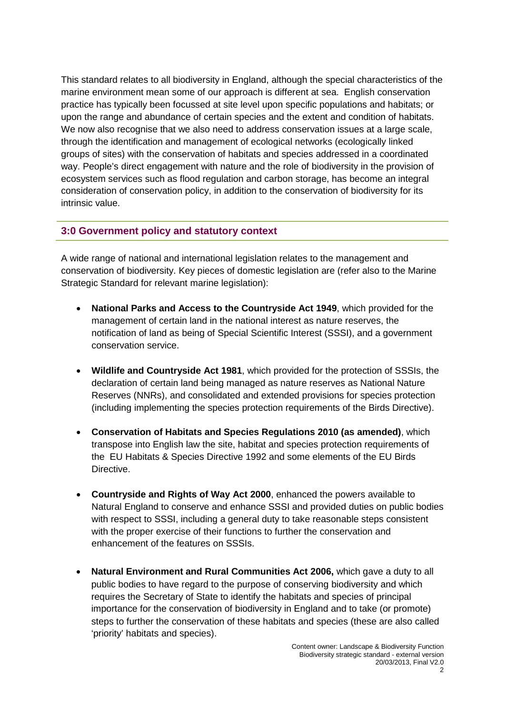This standard relates to all biodiversity in England, although the special characteristics of the marine environment mean some of our approach is different at sea. English conservation practice has typically been focussed at site level upon specific populations and habitats; or upon the range and abundance of certain species and the extent and condition of habitats. We now also recognise that we also need to address conservation issues at a large scale. through the identification and management of ecological networks (ecologically linked groups of sites) with the conservation of habitats and species addressed in a coordinated way. People's direct engagement with nature and the role of biodiversity in the provision of ecosystem services such as flood regulation and carbon storage, has become an integral consideration of conservation policy, in addition to the conservation of biodiversity for its intrinsic value.

# **3:0 Government policy and statutory context**

A wide range of national and international legislation relates to the management and conservation of biodiversity. Key pieces of domestic legislation are (refer also to the Marine Strategic Standard for relevant marine legislation):

- **National Parks and Access to the Countryside Act 1949**, which provided for the management of certain land in the national interest as nature reserves, the notification of land as being of Special Scientific Interest (SSSI), and a government conservation service.
- **Wildlife and Countryside Act 1981**, which provided for the protection of SSSIs, the declaration of certain land being managed as nature reserves as National Nature Reserves (NNRs), and consolidated and extended provisions for species protection (including implementing the species protection requirements of the Birds Directive).
- **Conservation of Habitats and Species Regulations 2010 (as amended)**, which transpose into English law the site, habitat and species protection requirements of the EU Habitats & Species Directive 1992 and some elements of the EU Birds Directive.
- **Countryside and Rights of Way Act 2000**, enhanced the powers available to Natural England to conserve and enhance SSSI and provided duties on public bodies with respect to SSSI, including a general duty to take reasonable steps consistent with the proper exercise of their functions to further the conservation and enhancement of the features on SSSIs.
- **Natural Environment and Rural Communities Act 2006,** which gave a duty to all public bodies to have regard to the purpose of conserving biodiversity and which requires the Secretary of State to identify the habitats and species of principal importance for the conservation of biodiversity in England and to take (or promote) steps to further the conservation of these habitats and species (these are also called 'priority' habitats and species).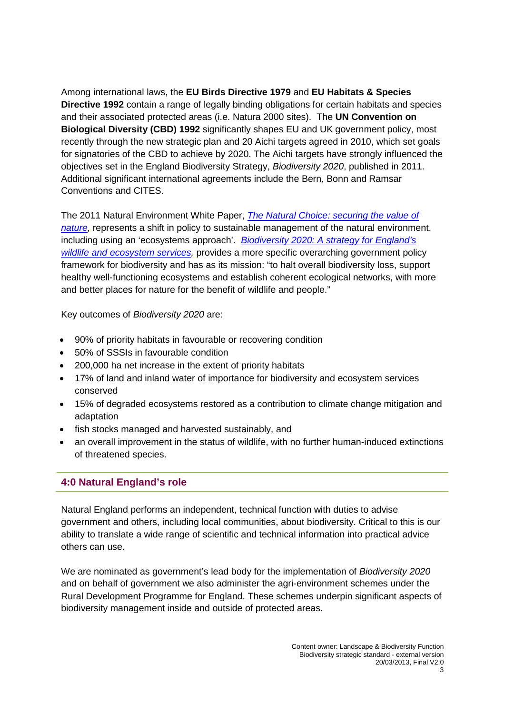Among international laws, the **EU Birds Directive 1979** and **EU Habitats & Species Directive 1992** contain a range of legally binding obligations for certain habitats and species and their associated protected areas (i.e. Natura 2000 sites). The **UN Convention on Biological Diversity (CBD) 1992** significantly shapes EU and UK government policy, most recently through the new strategic plan and 20 Aichi targets agreed in 2010, which set goals for signatories of the CBD to achieve by 2020. The Aichi targets have strongly influenced the objectives set in the England Biodiversity Strategy, *Biodiversity 2020*, published in 2011. Additional significant international agreements include the Bern, Bonn and Ramsar Conventions and CITES.

The 2011 Natural Environment White Paper, *[The Natural Choice: securing the value of](http://www.defra.gov.uk/environment/natural/whitepaper)  [nature,](http://www.defra.gov.uk/environment/natural/whitepaper)* represents a shift in policy to sustainable management of the natural environment, including using an 'ecosystems approach'. *[Biodiversity 2020: A strategy for England's](http://www.defra.gov.uk/publications/2011/08/19/pb13583-biodiversity-strategy-2020)  [wildlife and ecosystem services,](http://www.defra.gov.uk/publications/2011/08/19/pb13583-biodiversity-strategy-2020)* provides a more specific overarching government policy framework for biodiversity and has as its mission: "to halt overall biodiversity loss, support healthy well-functioning ecosystems and establish coherent ecological networks, with more and better places for nature for the benefit of wildlife and people."

Key outcomes of *Biodiversity 2020* are:

- 90% of priority habitats in favourable or recovering condition
- 50% of SSSIs in favourable condition
- 200,000 ha net increase in the extent of priority habitats
- 17% of land and inland water of importance for biodiversity and ecosystem services conserved
- 15% of degraded ecosystems restored as a contribution to climate change mitigation and adaptation
- fish stocks managed and harvested sustainably, and
- an overall improvement in the status of wildlife, with no further human-induced extinctions of threatened species.

# **4:0 Natural England's role**

Natural England performs an independent, technical function with duties to advise government and others, including local communities, about biodiversity. Critical to this is our ability to translate a wide range of scientific and technical information into practical advice others can use.

We are nominated as government's lead body for the implementation of *Biodiversity 2020* and on behalf of government we also administer the agri-environment schemes under the Rural Development Programme for England. These schemes underpin significant aspects of biodiversity management inside and outside of protected areas.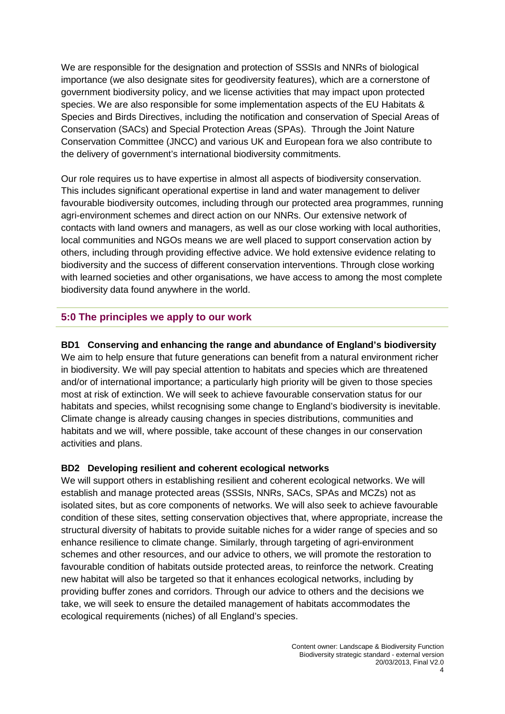We are responsible for the designation and protection of SSSIs and NNRs of biological importance (we also designate sites for geodiversity features), which are a cornerstone of government biodiversity policy, and we license activities that may impact upon protected species. We are also responsible for some implementation aspects of the EU Habitats & Species and Birds Directives, including the notification and conservation of Special Areas of Conservation (SACs) and Special Protection Areas (SPAs). Through the Joint Nature Conservation Committee (JNCC) and various UK and European fora we also contribute to the delivery of government's international biodiversity commitments.

Our role requires us to have expertise in almost all aspects of biodiversity conservation. This includes significant operational expertise in land and water management to deliver favourable biodiversity outcomes, including through our protected area programmes, running agri-environment schemes and direct action on our NNRs. Our extensive network of contacts with land owners and managers, as well as our close working with local authorities, local communities and NGOs means we are well placed to support conservation action by others, including through providing effective advice. We hold extensive evidence relating to biodiversity and the success of different conservation interventions. Through close working with learned societies and other organisations, we have access to among the most complete biodiversity data found anywhere in the world.

# **5:0 The principles we apply to our work**

#### **BD1 Conserving and enhancing the range and abundance of England's biodiversity**

We aim to help ensure that future generations can benefit from a natural environment richer in biodiversity. We will pay special attention to habitats and species which are threatened and/or of international importance; a particularly high priority will be given to those species most at risk of extinction. We will seek to achieve favourable conservation status for our habitats and species, whilst recognising some change to England's biodiversity is inevitable. Climate change is already causing changes in species distributions, communities and habitats and we will, where possible, take account of these changes in our conservation activities and plans.

#### **BD2 Developing resilient and coherent ecological networks**

We will support others in establishing resilient and coherent ecological networks. We will establish and manage protected areas (SSSIs, NNRs, SACs, SPAs and MCZs) not as isolated sites, but as core components of networks. We will also seek to achieve favourable condition of these sites, setting conservation objectives that, where appropriate, increase the structural diversity of habitats to provide suitable niches for a wider range of species and so enhance resilience to climate change. Similarly, through targeting of agri-environment schemes and other resources, and our advice to others, we will promote the restoration to favourable condition of habitats outside protected areas, to reinforce the network. Creating new habitat will also be targeted so that it enhances ecological networks, including by providing buffer zones and corridors. Through our advice to others and the decisions we take, we will seek to ensure the detailed management of habitats accommodates the ecological requirements (niches) of all England's species.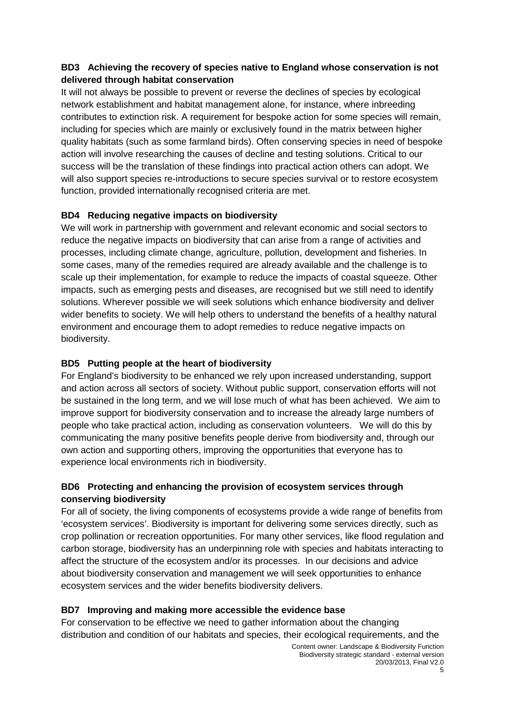# **BD3 Achieving the recovery of species native to England whose conservation is not delivered through habitat conservation**

It will not always be possible to prevent or reverse the declines of species by ecological network establishment and habitat management alone, for instance, where inbreeding contributes to extinction risk. A requirement for bespoke action for some species will remain, including for species which are mainly or exclusively found in the matrix between higher quality habitats (such as some farmland birds). Often conserving species in need of bespoke action will involve researching the causes of decline and testing solutions. Critical to our success will be the translation of these findings into practical action others can adopt. We will also support species re-introductions to secure species survival or to restore ecosystem function, provided internationally recognised criteria are met.

# **BD4 Reducing negative impacts on biodiversity**

We will work in partnership with government and relevant economic and social sectors to reduce the negative impacts on biodiversity that can arise from a range of activities and processes, including climate change, agriculture, pollution, development and fisheries. In some cases, many of the remedies required are already available and the challenge is to scale up their implementation, for example to reduce the impacts of coastal squeeze. Other impacts, such as emerging pests and diseases, are recognised but we still need to identify solutions. Wherever possible we will seek solutions which enhance biodiversity and deliver wider benefits to society. We will help others to understand the benefits of a healthy natural environment and encourage them to adopt remedies to reduce negative impacts on biodiversity.

# **BD5 Putting people at the heart of biodiversity**

For England's biodiversity to be enhanced we rely upon increased understanding, support and action across all sectors of society. Without public support, conservation efforts will not be sustained in the long term, and we will lose much of what has been achieved. We aim to improve support for biodiversity conservation and to increase the already large numbers of people who take practical action, including as conservation volunteers. We will do this by communicating the many positive benefits people derive from biodiversity and, through our own action and supporting others, improving the opportunities that everyone has to experience local environments rich in biodiversity.

# **BD6 Protecting and enhancing the provision of ecosystem services through conserving biodiversity**

For all of society, the living components of ecosystems provide a wide range of benefits from 'ecosystem services'. Biodiversity is important for delivering some services directly, such as crop pollination or recreation opportunities. For many other services, like flood regulation and carbon storage, biodiversity has an underpinning role with species and habitats interacting to affect the structure of the ecosystem and/or its processes. In our decisions and advice about biodiversity conservation and management we will seek opportunities to enhance ecosystem services and the wider benefits biodiversity delivers.

# **BD7 Improving and making more accessible the evidence base**

For conservation to be effective we need to gather information about the changing distribution and condition of our habitats and species, their ecological requirements, and the